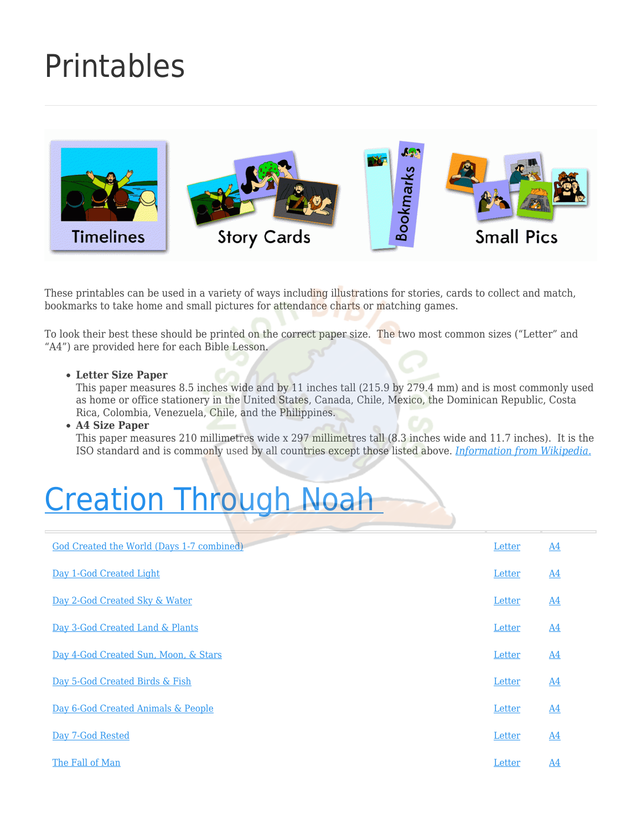### [Printables](https://missionbibleclass.org/teaching-ideas/printables/)



These printables can be used in a variety of ways including illustrations for stories, cards to collect and match, bookmarks to take home and small pictures for attendance charts or matching games.

To look their best these should be printed on the correct paper size. The two most common sizes ("Letter" and "A4") are provided here for each Bible Lesson.

#### **Letter Size Paper**

This paper measures 8.5 inches wide and by 11 inches tall (215.9 by 279.4 mm) and is most commonly used as home or office stationery in the United States, Canada, Chile, Mexico, the Dominican Republic, Costa Rica, Colombia, Venezuela, Chile, and the Philippines.

#### **A4 Size Paper**

This paper measures 210 millimetres wide x 297 millimetres tall (8.3 inches wide and 11.7 inches). It is the ISO standard and is commonly used by all countries except those listed above. *[Information from Wikipedia.](https://en.wikipedia.org/wiki/Paper_size#B_series)*

### [Creation Through Noah](http://missionbibleclass.org/old-testament-stories/old-testament-part-1/creation-through-noah/)

| God Created the World (Days 1-7 combined) | Letter | $\underline{A4}$ |
|-------------------------------------------|--------|------------------|
| Day 1-God Created Light                   | Letter | $\underline{A4}$ |
| Day 2-God Created Sky & Water             | Letter | $\underline{A4}$ |
| Day 3-God Created Land & Plants           | Letter | A <sub>4</sub>   |
| Day 4-God Created Sun, Moon, & Stars      | Letter | $\underline{A4}$ |
| Day 5-God Created Birds & Fish            | Letter | $\underline{A4}$ |
| Day 6-God Created Animals & People        | Letter | $\underline{A4}$ |
| Day 7-God Rested                          | Letter | A <sub>4</sub>   |
| The Fall of Man                           | Letter | $\underline{A4}$ |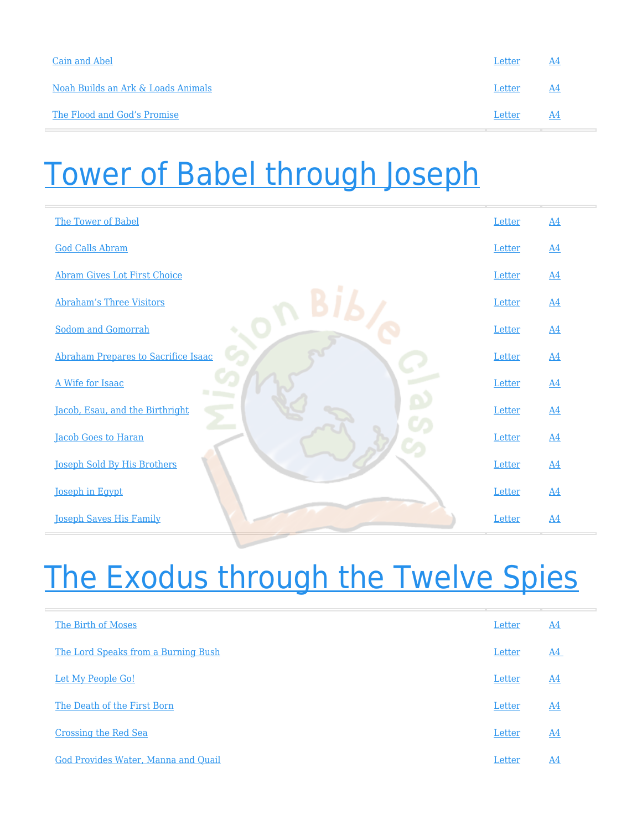| Cain and Abel                      | Letter | -A4 |
|------------------------------------|--------|-----|
| Noah Builds an Ark & Loads Animals | Letter | A4  |
| The Flood and God's Promise        | Letter | A4  |

### [Tower of Babel through Joseph](http://missionbibleclass.org/old-testament-stories/old-testament-part-1/tower-of-babel-through-joseph/)

| The Tower of Babel                  | Letter | $\underline{A4}$ |
|-------------------------------------|--------|------------------|
| <b>God Calls Abram</b>              | Letter | $\underline{A4}$ |
| <b>Abram Gives Lot First Choice</b> | Letter | $\underline{A4}$ |
| <b>Abraham's Three Visitors</b>     | Letter | $\underline{A4}$ |
| <b>Sodom and Gomorrah</b>           | Letter | $\underline{A4}$ |
| Abraham Prepares to Sacrifice Isaac | Letter | $\underline{A4}$ |
| A Wife for Isaac                    | Letter | $\underline{A4}$ |
| Jacob, Esau, and the Birthright     | Letter | $\underline{A4}$ |
| <b>Jacob Goes to Haran</b>          | Letter | $\underline{A4}$ |
| <b>Joseph Sold By His Brothers</b>  | Letter | $\underline{A4}$ |
| <b>Joseph in Egypt</b>              | Letter | $\underline{A4}$ |
| <b>Joseph Saves His Family</b>      | Letter | $\underline{A4}$ |

### [The Exodus through the Twelve Spies](http://missionbibleclass.org/old-testament-stories/old-testament-part-1/exodus-through-12-spies/)

| The Birth of Moses                  | Letter | $\underline{A4}$ |
|-------------------------------------|--------|------------------|
| The Lord Speaks from a Burning Bush | Letter | $\underline{A4}$ |
| Let My People Go!                   | Letter | $\underline{A4}$ |
| The Death of the First Born         | Letter | $\underline{A4}$ |
| Crossing the Red Sea                | Letter | $\underline{A4}$ |
| God Provides Water, Manna and Quail | Letter | A4               |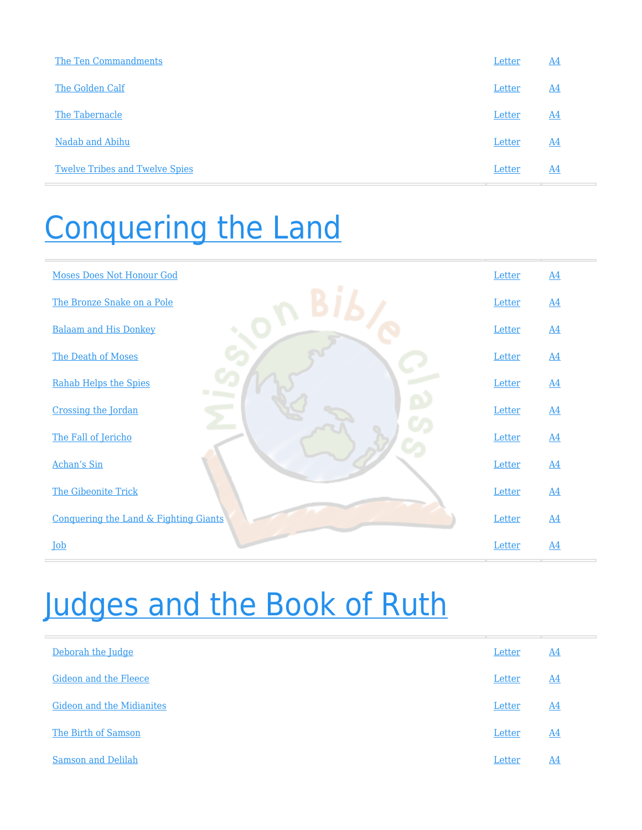| The Ten Commandments                  | Letter        | A4               |
|---------------------------------------|---------------|------------------|
| The Golden Calf                       | Letter        | $\underline{A4}$ |
| The Tabernacle                        | Letter        | <u>A4</u>        |
| Nadab and Abihu                       | Letter        | $\underline{A4}$ |
| <b>Twelve Tribes and Twelve Spies</b> | Letter<br>___ | A <sub>4</sub>   |

### [Conquering the Land](http://missionbibleclass.org/old-testament-stories/old-testament-part-1/conquering-the-land/)

| <b>Moses Does Not Honour God</b>                 | Letter | $\underline{A4}$ |
|--------------------------------------------------|--------|------------------|
| The Bronze Snake on a Pole                       | Letter | $\underline{A4}$ |
| <b>Balaam and His Donkey</b>                     | Letter | $\underline{A4}$ |
| The Death of Moses                               | Letter | $\underline{A4}$ |
| <b>Rahab Helps the Spies</b>                     | Letter | $\underline{A4}$ |
| Crossing the Jordan                              | Letter | $\underline{A4}$ |
| The Fall of Jericho                              | Letter | $\underline{A4}$ |
| <b>Achan's Sin</b>                               | Letter | $\underline{A4}$ |
| <b>The Gibeonite Trick</b>                       | Letter | $\underline{A4}$ |
| <b>Conquering the Land &amp; Fighting Giants</b> | Letter | $\underline{A4}$ |
| Job                                              | Letter | $\underline{A4}$ |

### [Judges and the Book of Ruth](http://missionbibleclass.org/old-testament-stories/old-testament-part-2/judges-and-ruth/)

| $\underline{A4}$ |
|------------------|
| $\underline{A4}$ |
| $\underline{A4}$ |
| $\underline{A4}$ |
| $\underline{A4}$ |
|                  |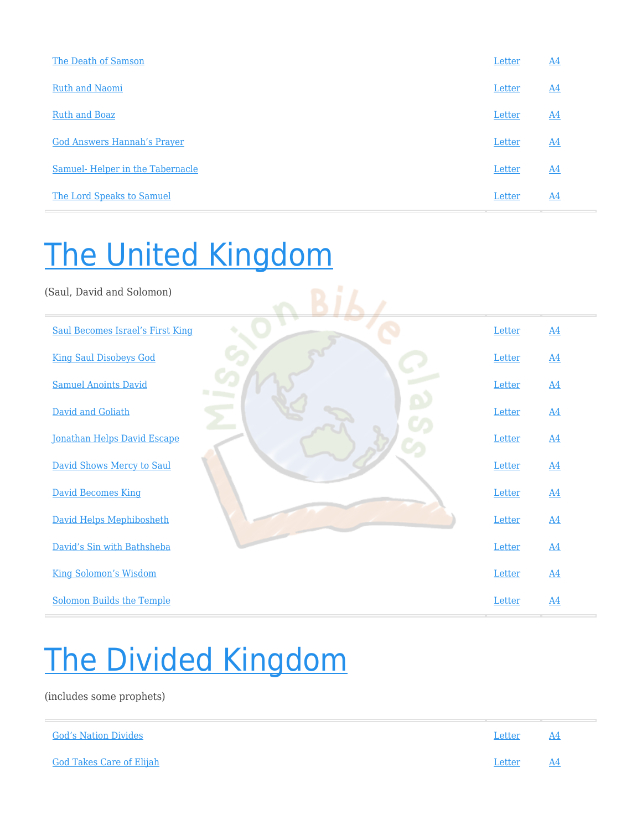| The Death of Samson                | Letter | A <sub>4</sub>   |
|------------------------------------|--------|------------------|
| <b>Ruth and Naomi</b>              | Letter | $\underline{A4}$ |
| <b>Ruth and Boaz</b>               | Letter | $\underline{A4}$ |
| <b>God Answers Hannah's Prayer</b> | Letter | $\underline{A4}$ |
| Samuel-Helper in the Tabernacle    | Letter | $\underline{A4}$ |
| The Lord Speaks to Samuel          | Letter | $\underline{A4}$ |

### [The United Kingdom](http://missionbibleclass.org/old-testament-stories/old-testament-part-2/united-kingdom/)

(Saul, David and Solomon) [Saul Becomes Israel's First King](http://missionbibleclass.org/old-testament-stories/old-testament-part-2/united-kingdom/saul-becomes-israels-first-king/) and A4 [Letter](https://missionbibleclass.org/wp-content/uploads/2020/01/06_1-Saul-Becomes-Israels-1st-King-in-letter-size-paper-USA.pdf) [A4](https://missionbibleclass.org/wp-content/uploads/2020/01/06_1-Saul-Becomes-Israels-1st-King-in-A4-size-paper.pdf) [King Saul Disobeys God](http://missionbibleclass.org/old-testament-stories/old-testament-part-2/united-kingdom/king-saul-disobeys-god/) [Letter](https://missionbibleclass.org/wp-content/uploads/2020/01/06_2-Saul-Disobeys-God-in-letter-size-paper-USA.pdf) [A4](https://missionbibleclass.org/wp-content/uploads/2020/01/06_2-Saul-Disobeys-God-in-A4-size-paper.pdf) [Samuel Anoints David](http://missionbibleclass.org/old-testament-stories/old-testament-part-2/united-kingdom/samuel-annoints-david/) **[Letter](https://missionbibleclass.org/wp-content/uploads/2020/01/06_3-Samuel-Anoints-David-in-letter-size-paper-USA.pdf)** [A4](https://missionbibleclass.org/wp-content/uploads/2020/01/06_3-Samuel-Anoints-David-in-A4-size-paper.pdf) [David and Goliath](http://missionbibleclass.org/old-testament-stories/old-testament-part-2/united-kingdom/david-and-goliath/) **[Letter](https://missionbibleclass.org/wp-content/uploads/2020/01/06_4-David-and-Goliath-in-letter-size-paper-USA.pdf)** [A4](https://missionbibleclass.org/wp-content/uploads/2020/01/06_4-David-and-Goliath-in-A4-size-paper.pdf) [Jonathan Helps David Escape](http://missionbibleclass.org/old-testament-stories/old-testament-part-2/united-kingdom/jonathan-helps-david-escape/) [Letter](https://missionbibleclass.org/wp-content/uploads/2020/01/06_5-Jonathan-Helps-David-Escape-in-letter-size-paper-USA.pdf) [A4](https://missionbibleclass.org/wp-content/uploads/2020/01/06_5-Jonathan-Helps-David-Escape-in-A4-size-paper.pdf) [David Shows Mercy to Saul](http://missionbibleclass.org/old-testament-stories/old-testament-part-2/united-kingdom/david-shows-mercy-to-king-saul/) [Letter](https://missionbibleclass.org/wp-content/uploads/2020/01/06_6-David-Shows-Mercy-to-Saul-in-letter-size-paper-USA.pdf) [A4](https://missionbibleclass.org/wp-content/uploads/2020/01/06_6-David-Shows-Mercy-to-Saul-in-A4-size-paper.pdf) [David Becomes King](http://missionbibleclass.org/old-testament-stories/old-testament-part-2/united-kingdom/david-becomes-king/) [A4](https://missionbibleclass.org/wp-content/uploads/2020/01/06_7-David-Becomes-King-in-A4-size-paper.pdf) [David Helps Mephibosheth](http://missionbibleclass.org/old-testament-stories/old-testament-part-2/united-kingdom/david-helps-mephibosheth/) [Letter](https://missionbibleclass.org/wp-content/uploads/2020/01/06_8-David-Helps-Mephibosheth-in-letter-size-paper-USA.pdf) [A4](https://missionbibleclass.org/wp-content/uploads/2020/01/06_8-David-Helps-Mephibosheth-in-A4-size-paper.pdf) **[David's Sin with Bathsheba](http://missionbibleclass.org/old-testament-stories/old-testament-part-2/united-kingdom/davids-sin-with-bathsheba/)** [Letter](https://missionbibleclass.org/wp-content/uploads/2020/01/06_9-Davids-Sin-With-Bathsheba-in-letter-size-paper-USA.pdf) [A4](https://missionbibleclass.org/wp-content/uploads/2020/01/06_9-Davids-Sin-With-Bathsheba-in-A4-size-paper.pdf) [King Solomon's Wisdom](http://missionbibleclass.org/old-testament-stories/old-testament-part-2/united-kingdom/wise-king-solomon/) [Letter](https://missionbibleclass.org/wp-content/uploads/2020/01/06_10-King-Solomons-Wisdom-in-letter-size-paper-USA.pdf) [A4](https://missionbibleclass.org/wp-content/uploads/2020/01/06_10-King-Solomons-Wisdom-in-A4-size-paper.pdf) [Solomon Builds the Temple](http://missionbibleclass.org/old-testament-stories/old-testament-part-2/united-kingdom/solomon-builds-the-temple/) **Example** 2 and 2 and 2 and 2 and 2 and 2 and 2 and 2 and 2 and 2 and 2 and 2 and 2 and 2 and 2 and 2 and 2 and 2 and 2 and 2 and 2 and 2 and 2 and 2 and 2 and 2 and 2 and 2 and 2 and 2 and 2 and

### [The Divided Kingdom](http://missionbibleclass.org/old-testament-stories/old-testament-part-2/divided-kingdom/)

(includes some prophets)

| <b>God's Nation Divides</b>     | Letter | . A4      |
|---------------------------------|--------|-----------|
| <u>God Takes Care of Elijah</u> | Letter | <b>A4</b> |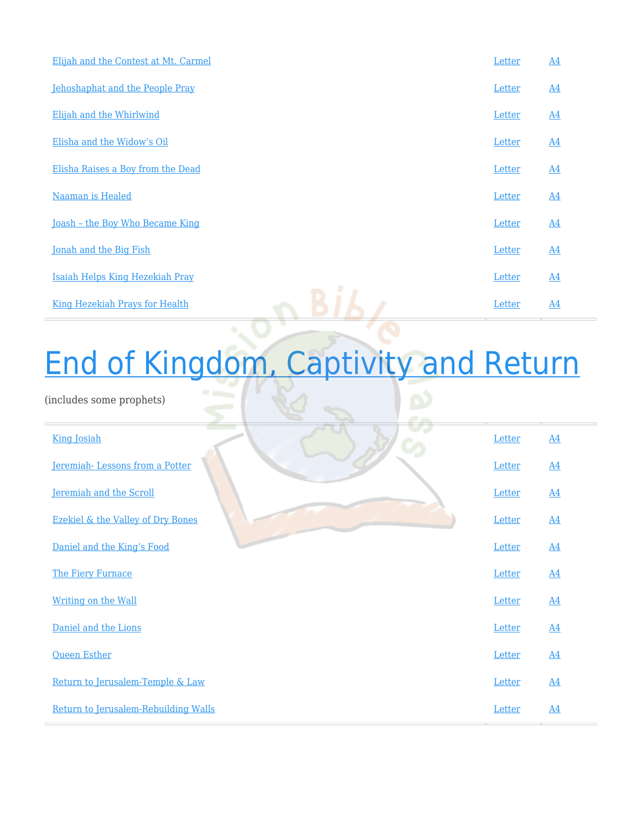| Elijah and the Contest at Mt. Carmel  | Letter | $\underline{A4}$ |
|---------------------------------------|--------|------------------|
| Jehoshaphat and the People Pray       | Letter | A <sub>4</sub>   |
| Elijah and the Whirlwind              | Letter | $\underline{A4}$ |
| Elisha and the Widow's Oil            | Letter | $\underline{A4}$ |
| Elisha Raises a Boy from the Dead     | Letter | $\underline{A4}$ |
| Naaman is Healed                      | Letter | $\underline{A4}$ |
| Joash - the Boy Who Became King       | Letter | $\underline{A4}$ |
| Jonah and the Big Fish                | Letter | $\underline{A4}$ |
| Isaiah Helps King Hezekiah Pray       | Letter | $\underline{A4}$ |
| <b>King Hezekiah Prays for Health</b> | Letter | $\underline{A4}$ |
|                                       |        |                  |

# [End of Kingdom, Captivity and Return](http://missionbibleclass.org/old-testament-stories/old-testament-part-2/kingdom-ends-captivity-return-prophets/)

(includes some prophets)

| <b>King Josiah</b>                           | Letter | $\underline{A4}$ |
|----------------------------------------------|--------|------------------|
| Jeremiah-Lessons from a Potter               | Letter | $\underline{A4}$ |
| Jeremiah and the Scroll                      | Letter | $\underline{A4}$ |
| <b>Ezekiel &amp; the Valley of Dry Bones</b> | Letter | $\underline{A4}$ |
| Daniel and the King's Food                   | Letter | $\underline{A4}$ |
| The Fiery Furnace                            | Letter | $\underline{A4}$ |
| Writing on the Wall                          | Letter | $\underline{A4}$ |
| Daniel and the Lions                         | Letter | $\underline{A4}$ |
| <b>Queen Esther</b>                          | Letter | $\underline{A4}$ |
| Return to Jerusalem-Temple & Law             | Letter | $\underline{A4}$ |
| Return to Jerusalem-Rebuilding Walls         | Letter | $\underline{A4}$ |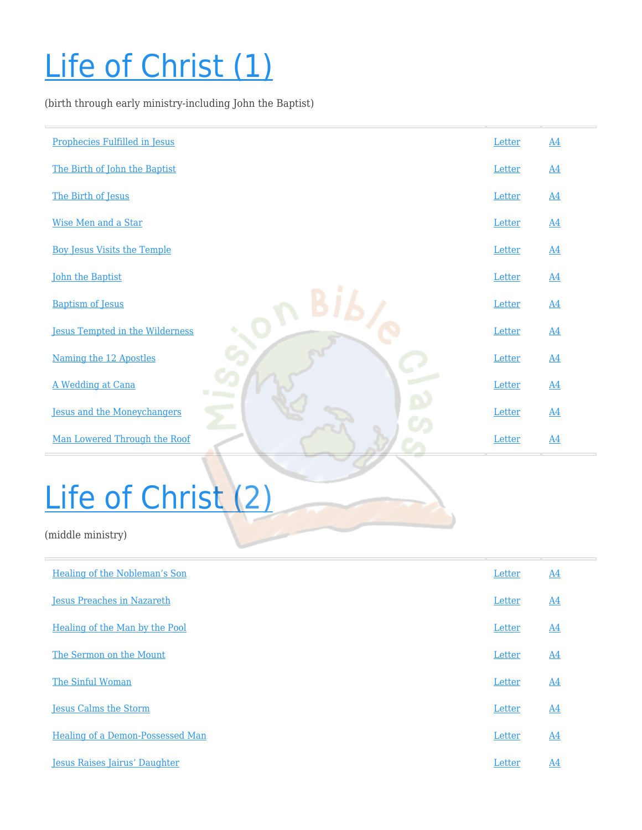## [Life of Christ \(1\)](http://missionbibleclass.org/new-testament/part1/life-of-christ-early/)

(birth through early ministry-including John the Baptist)

| Prophecies Fulfilled in Jesus          | Letter | $\underline{A4}$ |
|----------------------------------------|--------|------------------|
| The Birth of John the Baptist          | Letter | $\underline{A4}$ |
| The Birth of Jesus                     | Letter | $\underline{A4}$ |
| Wise Men and a Star                    | Letter | $\underline{A4}$ |
| <b>Boy Jesus Visits the Temple</b>     | Letter | $\underline{A4}$ |
| <b>John the Baptist</b>                | Letter | $\underline{A4}$ |
| <b>Baptism of Jesus</b>                | Letter | $\underline{A4}$ |
| <b>Jesus Tempted in the Wilderness</b> | Letter | $\underline{A4}$ |
| Naming the 12 Apostles                 | Letter | $\underline{A4}$ |
| A Wedding at Cana                      | Letter | $\underline{A4}$ |
| <b>Jesus and the Moneychangers</b>     | Letter | $\underline{A4}$ |
| Man Lowered Through the Roof           | Letter | $\underline{A4}$ |
|                                        |        |                  |

# [Life of Christ \(2\)](http://missionbibleclass.org/new-testament/part1/life-of-christ-middle/)

(middle ministry)

| Healing of the Nobleman's Son           | Letter | $\underline{A4}$ |
|-----------------------------------------|--------|------------------|
| <b>Jesus Preaches in Nazareth</b>       | Letter | $\underline{A4}$ |
| Healing of the Man by the Pool          | Letter | $\underline{A4}$ |
| The Sermon on the Mount                 | Letter | $\underline{A4}$ |
| The Sinful Woman                        | Letter | $\underline{A4}$ |
| <b>Jesus Calms the Storm</b>            | Letter | $\underline{A4}$ |
| <b>Healing of a Demon-Possessed Man</b> | Letter | A4               |
| <b>Jesus Raises Jairus' Daughter</b>    | Letter | $\underline{A4}$ |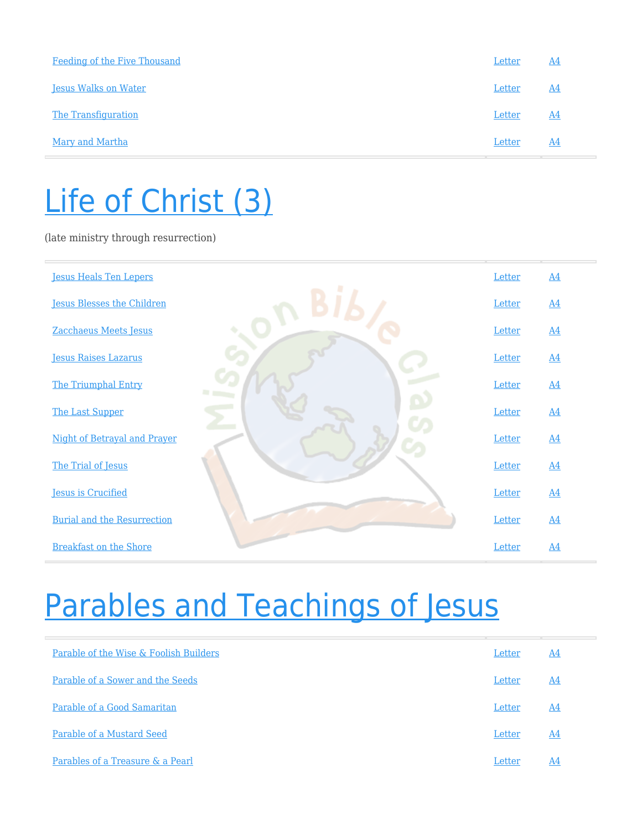| Feeding of the Five Thousand | Letter | A4               |
|------------------------------|--------|------------------|
| <b>Jesus Walks on Water</b>  | Letter | <u>A4</u>        |
| The Transfiguration          | Letter | $\underline{A4}$ |
| Mary and Martha              | Letter | A4               |

### [Life of Christ \(3\)](http://missionbibleclass.org/new-testament/part1/life-of-christ-late/)

(late ministry through resurrection)

| <b>Jesus Heals Ten Lepers</b>      | Letter | $\underline{A4}$ |
|------------------------------------|--------|------------------|
| <b>Jesus Blesses the Children</b>  | Letter | $\underline{A4}$ |
| Zacchaeus Meets Jesus              | Letter | $\underline{A4}$ |
| <b>Jesus Raises Lazarus</b>        | Letter | $\underline{A4}$ |
| The Triumphal Entry                | Letter | A <sub>4</sub>   |
| The Last Supper                    | Letter | $\underline{A4}$ |
| Night of Betrayal and Prayer       | Letter | $\underline{A4}$ |
| The Trial of Jesus                 | Letter | $\underline{A4}$ |
| <b>Jesus is Crucified</b>          | Letter | $\underline{A4}$ |
| <b>Burial and the Resurrection</b> | Letter | $\underline{A4}$ |
| <b>Breakfast on the Shore</b>      | Letter | $\underline{A4}$ |

### [Parables and Teachings of Jesus](http://missionbibleclass.org/new-testament/part1/parables-teachings-of-jesus/)

| Parable of the Wise & Foolish Builders | Letter | A4 |
|----------------------------------------|--------|----|
| Parable of a Sower and the Seeds       | Letter | A4 |
| Parable of a Good Samaritan            | Letter | A4 |
| Parable of a Mustard Seed              | Letter | A4 |
| Parables of a Treasure & a Pearl       | Letter | A4 |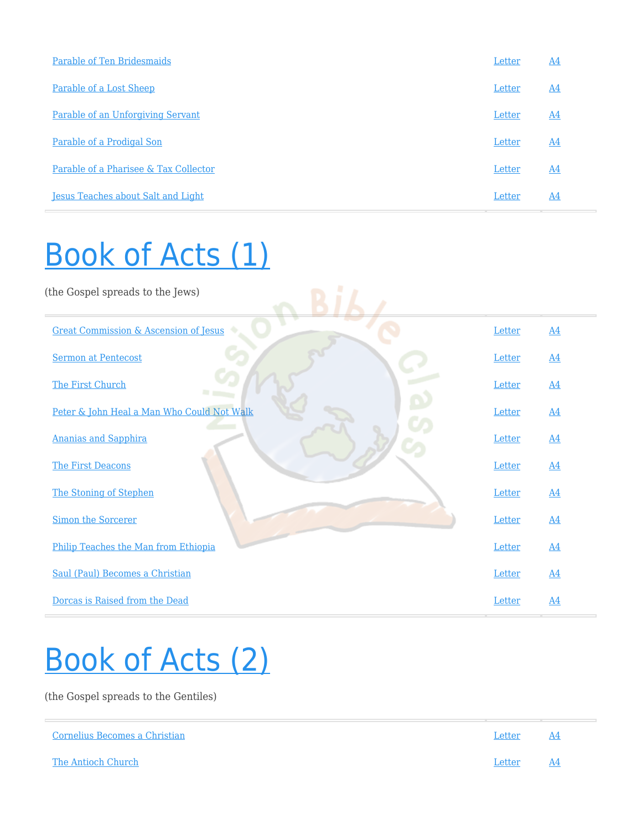| Parable of Ten Bridesmaids                | Letter | $\underline{A4}$ |
|-------------------------------------------|--------|------------------|
| Parable of a Lost Sheep                   | Letter | $\underline{A4}$ |
| Parable of an Unforgiving Servant         | Letter | $\underline{A4}$ |
| Parable of a Prodigal Son                 | Letter | $\underline{A4}$ |
| Parable of a Pharisee & Tax Collector     | Letter | A4               |
| <b>Jesus Teaches about Salt and Light</b> | Letter | $\underline{A4}$ |

### [Book of Acts \(1\)](http://missionbibleclass.org/new-testament/part2/acts-the-church-begins/)

| (the Gospel spreads to the Jews)                 |        |                  |
|--------------------------------------------------|--------|------------------|
| <b>Great Commission &amp; Ascension of Jesus</b> | Letter | $\underline{A4}$ |
| <b>Sermon at Pentecost</b>                       | Letter | $\underline{A4}$ |
| The First Church                                 | Letter | $\underline{A4}$ |
| Peter & John Heal a Man Who Could Not Walk       | Letter | $\underline{A4}$ |
| <b>Ananias and Sapphira</b>                      | Letter | $\underline{A4}$ |
| The First Deacons                                | Letter | $\underline{A4}$ |
| The Stoning of Stephen                           | Letter | $\underline{A4}$ |
| <b>Simon the Sorcerer</b>                        | Letter | $\underline{A4}$ |
| Philip Teaches the Man from Ethiopia             | Letter | $\underline{A4}$ |
| Saul (Paul) Becomes a Christian                  | Letter | $\underline{A4}$ |
| Dorcas is Raised from the Dead                   | Letter | $\underline{A4}$ |

### [Book of Acts \(2\)](http://missionbibleclass.org/new-testament/part2/acts-the-church-expands/)

(the Gospel spreads to the Gentiles)

| Cornelius Becomes a Christian | Letter | AA   |
|-------------------------------|--------|------|
| The Antioch Church            | Letter | - A4 |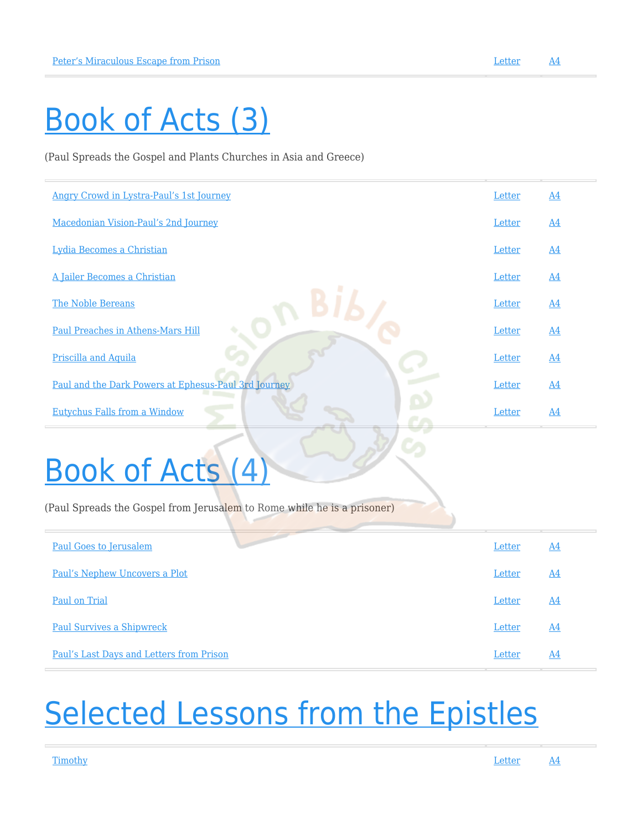### [Book of Acts \(3\)](http://missionbibleclass.org/new-testament/part2/acts-epistle-selections/)

(Paul Spreads the Gospel and Plants Churches in Asia and Greece)

| Angry Crowd in Lystra-Paul's 1st Journey             | Letter | $\underline{A4}$ |
|------------------------------------------------------|--------|------------------|
| Macedonian Vision-Paul's 2nd Journey                 | Letter | $\underline{A4}$ |
| Lydia Becomes a Christian                            | Letter | $\underline{A4}$ |
| A Jailer Becomes a Christian                         | Letter | $\underline{A4}$ |
| The Noble Bereans                                    | Letter | <u>A4</u>        |
| Paul Preaches in Athens-Mars Hill                    | Letter | $\underline{A4}$ |
| Priscilla and Aquila                                 | Letter | $\underline{A4}$ |
| Paul and the Dark Powers at Ephesus-Paul 3rd Journey | Letter | $\underline{A4}$ |
| <b>Eutychus Falls from a Window</b>                  | Letter | $\underline{A4}$ |
|                                                      |        |                  |

## [Book of Acts \(4\)](http://missionbibleclass.org/1b0-new-testament/new-testament-part-2/acts-paul-the-prisoner-spreads-the-gospel-from-jerusalem-to-rome/)

(Paul Spreads the Gospel from Jerusalem to Rome while he is a prisoner)

| <b>Paul Goes to Jerusalem</b>            | Letter | A4        |
|------------------------------------------|--------|-----------|
| Paul's Nephew Uncovers a Plot            | Letter | <u>A4</u> |
| Paul on Trial                            | Letter | <u>A4</u> |
| <b>Paul Survives a Shipwreck</b>         | Letter | A4        |
| Paul's Last Days and Letters from Prison | Letter | A4        |

### **[Selected Lessons from the Epistles](http://missionbibleclass.org/new-testament/part2/selections-from-the-epistles/)**